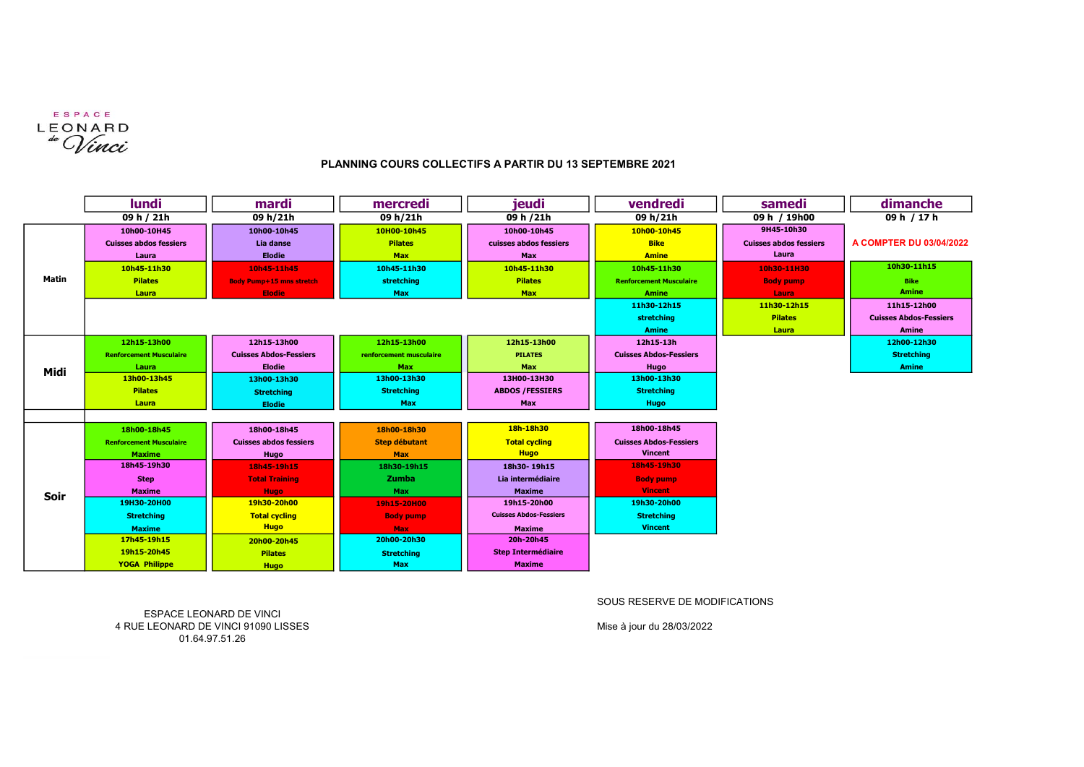

## PLANNING COURS COLLECTIFS A PARTIR DU 13 SEPTEMBRE 2021

|              | lundi                          | mardi                           | mercredi                | jeudi                         | vendredi                       | samedi                        | dimanche                      |
|--------------|--------------------------------|---------------------------------|-------------------------|-------------------------------|--------------------------------|-------------------------------|-------------------------------|
|              | 09 h / 21h                     | 09 h/21h                        | 09 h/21h                | 09 h /21h                     | 09 h/21h                       | 09 h / 19h00                  | 09 h / 17 h                   |
| <b>Matin</b> | 10h00-10H45                    | 10h00-10h45                     | 10H00-10h45             | 10h00-10h45                   | 10h00-10h45                    | 9H45-10h30                    |                               |
|              | <b>Cuisses abdos fessiers</b>  | Lia danse                       | <b>Pilates</b>          | cuisses abdos fessiers        | <b>Bike</b>                    | <b>Cuisses abdos fessiers</b> | A COMPTER DU 03/04/2022       |
|              | Laura                          | <b>Elodie</b>                   | <b>Max</b>              | Max                           | <b>Amine</b>                   | Laura                         |                               |
|              | 10h45-11h30                    | 10h45-11h45                     | 10h45-11h30             | 10h45-11h30                   | 10h45-11h30                    | 10h30-11H30                   | 10h30-11h15                   |
|              | <b>Pilates</b>                 | <b>Body Pump+15 mns stretch</b> | stretching              | <b>Pilates</b>                | <b>Renforcement Musculaire</b> | <b>Body pump</b>              | <b>Bike</b>                   |
|              | Laura                          | <b>Elodie</b>                   | <b>Max</b>              | <b>Max</b>                    | <b>Amine</b>                   | Laura                         | <b>Amine</b>                  |
|              |                                |                                 |                         |                               | 11h30-12h15                    | 11h30-12h15                   | 11h15-12h00                   |
|              |                                |                                 |                         |                               | <b>stretching</b>              | <b>Pilates</b>                | <b>Cuisses Abdos-Fessiers</b> |
|              |                                |                                 |                         |                               | <b>Amine</b>                   | Laura                         | <b>Amine</b>                  |
| Midi         | 12h15-13h00                    | 12h15-13h00                     | 12h15-13h00             | 12h15-13h00                   | 12h15-13h                      |                               | 12h00-12h30                   |
|              | <b>Renforcement Musculaire</b> | <b>Cuisses Abdos-Fessiers</b>   | renforcement musculaire | <b>PILATES</b>                | <b>Cuisses Abdos-Fessiers</b>  |                               | <b>Stretching</b>             |
|              | Laura                          | <b>Elodie</b>                   | Max                     | Max                           | Hugo                           |                               | <b>Amine</b>                  |
|              | 13h00-13h45                    | 13h00-13h30                     | 13h00-13h30             | 13H00-13H30                   | 13h00-13h30                    |                               |                               |
|              | <b>Pilates</b>                 | <b>Stretching</b>               | <b>Stretching</b>       | <b>ABDOS /FESSIERS</b>        | <b>Stretching</b>              |                               |                               |
|              | Laura                          | <b>Elodie</b>                   | Max                     | Max                           | Hugo                           |                               |                               |
|              |                                |                                 |                         |                               |                                |                               |                               |
| Soir         | 18h00-18h45                    | 18h00-18h45                     | 18h00-18h30             | 18h-18h30                     | 18h00-18h45                    |                               |                               |
|              | <b>Renforcement Musculaire</b> | <b>Cuisses abdos fessiers</b>   | <b>Step débutant</b>    | <b>Total cycling</b>          | <b>Cuisses Abdos-Fessiers</b>  |                               |                               |
|              | <b>Maxime</b>                  | Hugo                            | <b>Max</b>              | <b>Hugo</b>                   | <b>Vincent</b>                 |                               |                               |
|              | 18h45-19h30                    | 18h45-19h15                     | 18h30-19h15             | 18h30-19h15                   | 18h45-19h30                    |                               |                               |
|              | <b>Step</b>                    | <b>Total Training</b>           | Zumba                   | Lia intermédiaire             | <b>Body pump</b>               |                               |                               |
|              | <b>Maxime</b>                  | <b>Hugo</b>                     | Max                     | <b>Maxime</b>                 | <b>Vincent</b>                 |                               |                               |
|              | 19H30-20H00                    | 19h30-20h00                     | 19h15-20H00             | 19h15-20h00                   | 19h30-20h00                    |                               |                               |
|              | <b>Stretching</b>              | <b>Total cycling</b>            | <b>Body pump</b>        | <b>Cuisses Abdos-Fessiers</b> | <b>Stretching</b>              |                               |                               |
|              | <b>Maxime</b>                  | <b>Hugo</b>                     | <b>Max</b>              | <b>Maxime</b>                 | <b>Vincent</b>                 |                               |                               |
|              | 17h45-19h15                    | 20h00-20h45                     | 20h00-20h30             | 20h-20h45                     |                                |                               |                               |
|              | 19h15-20h45                    | <b>Pilates</b>                  | <b>Stretching</b>       | <b>Step Intermédiaire</b>     |                                |                               |                               |
|              | <b>YOGA Philippe</b>           | <b>Hugo</b>                     | Max                     | <b>Maxime</b>                 |                                |                               |                               |

SOUS RESERVE DE MODIFICATIONS

ESPACE LEONARD DE VINCI 4 RUE LEONARD DE VINCI 91090 LISSES 01.64.97.51.26

Mise à jour du 28/03/2022